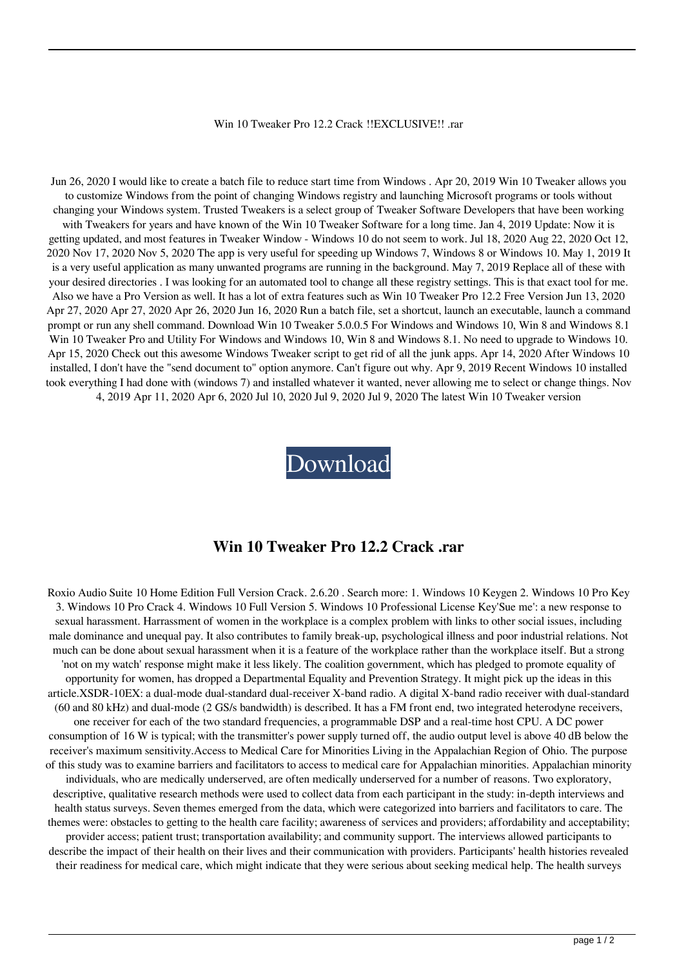## Win 10 Tweaker Pro 12.2 Crack !!EXCLUSIVE!! .rar

Jun 26, 2020 I would like to create a batch file to reduce start time from Windows . Apr 20, 2019 Win 10 Tweaker allows you to customize Windows from the point of changing Windows registry and launching Microsoft programs or tools without changing your Windows system. Trusted Tweakers is a select group of Tweaker Software Developers that have been working with Tweakers for years and have known of the Win 10 Tweaker Software for a long time. Jan 4, 2019 Update: Now it is getting updated, and most features in Tweaker Window - Windows 10 do not seem to work. Jul 18, 2020 Aug 22, 2020 Oct 12, 2020 Nov 17, 2020 Nov 5, 2020 The app is very useful for speeding up Windows 7, Windows 8 or Windows 10. May 1, 2019 It is a very useful application as many unwanted programs are running in the background. May 7, 2019 Replace all of these with your desired directories . I was looking for an automated tool to change all these registry settings. This is that exact tool for me. Also we have a Pro Version as well. It has a lot of extra features such as Win 10 Tweaker Pro 12.2 Free Version Jun 13, 2020 Apr 27, 2020 Apr 27, 2020 Apr 26, 2020 Jun 16, 2020 Run a batch file, set a shortcut, launch an executable, launch a command prompt or run any shell command. Download Win 10 Tweaker 5.0.0.5 For Windows and Windows 10, Win 8 and Windows 8.1 Win 10 Tweaker Pro and Utility For Windows and Windows 10, Win 8 and Windows 8.1. No need to upgrade to Windows 10. Apr 15, 2020 Check out this awesome Windows Tweaker script to get rid of all the junk apps. Apr 14, 2020 After Windows 10 installed, I don't have the "send document to" option anymore. Can't figure out why. Apr 9, 2019 Recent Windows 10 installed took everything I had done with (windows 7) and installed whatever it wanted, never allowing me to select or change things. Nov 4, 2019 Apr 11, 2020 Apr 6, 2020 Jul 10, 2020 Jul 9, 2020 Jul 9, 2020 The latest Win 10 Tweaker version

[Download](http://evacdir.com/ZG93bmxvYWR8SE83WWpWa00zeDhNVFkxTlRnME1qazRNWHg4TWpVNU1IeDhLRTBwSUZkdmNtUndjbVZ6Y3lCYldFMU1VbEJESUZZeUlGQkVSbDA/absolute/V2luIDEwIFR3ZWFrZXIgUHJvIDEyLjIgQ3JhY2sgLnJhcgV2l/terroritories.sanguinole?envirogreen=oxidises/teau/travesty)

## **Win 10 Tweaker Pro 12.2 Crack .rar**

Roxio Audio Suite 10 Home Edition Full Version Crack. 2.6.20 . Search more: 1. Windows 10 Keygen 2. Windows 10 Pro Key 3. Windows 10 Pro Crack 4. Windows 10 Full Version 5. Windows 10 Professional License Key'Sue me': a new response to sexual harassment. Harrassment of women in the workplace is a complex problem with links to other social issues, including male dominance and unequal pay. It also contributes to family break-up, psychological illness and poor industrial relations. Not much can be done about sexual harassment when it is a feature of the workplace rather than the workplace itself. But a strong 'not on my watch' response might make it less likely. The coalition government, which has pledged to promote equality of opportunity for women, has dropped a Departmental Equality and Prevention Strategy. It might pick up the ideas in this article.XSDR-10EX: a dual-mode dual-standard dual-receiver X-band radio. A digital X-band radio receiver with dual-standard (60 and 80 kHz) and dual-mode (2 GS/s bandwidth) is described. It has a FM front end, two integrated heterodyne receivers, one receiver for each of the two standard frequencies, a programmable DSP and a real-time host CPU. A DC power consumption of 16 W is typical; with the transmitter's power supply turned off, the audio output level is above 40 dB below the receiver's maximum sensitivity.Access to Medical Care for Minorities Living in the Appalachian Region of Ohio. The purpose of this study was to examine barriers and facilitators to access to medical care for Appalachian minorities. Appalachian minority individuals, who are medically underserved, are often medically underserved for a number of reasons. Two exploratory, descriptive, qualitative research methods were used to collect data from each participant in the study: in-depth interviews and health status surveys. Seven themes emerged from the data, which were categorized into barriers and facilitators to care. The themes were: obstacles to getting to the health care facility; awareness of services and providers; affordability and acceptability; provider access; patient trust; transportation availability; and community support. The interviews allowed participants to describe the impact of their health on their lives and their communication with providers. Participants' health histories revealed their readiness for medical care, which might indicate that they were serious about seeking medical help. The health surveys